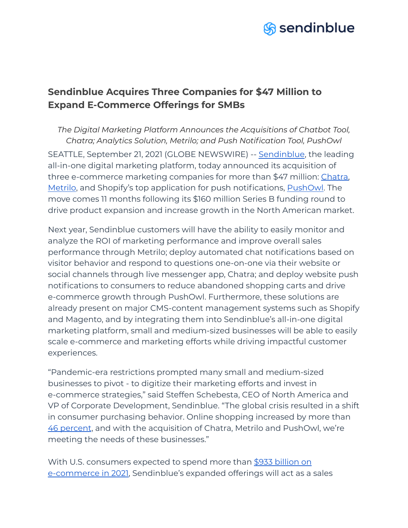

# **Sendinblue Acquires Three Companies for \$47 Million to Expand E-Commerce Offerings for SMBs**

*The Digital Marketing Platform Announces the Acquisitions of Chatbot Tool, Chatra; Analytics Solution, Metrilo; and Push Notification Tool, PushOwl* SEATTLE, September 21, 2021 (GLOBE NEWSWIRE) -- [Sendinblue](https://www.sendinblue.com/), the leading all-in-one digital marketing platform, today announced its acquisition of three e-commerce marketing companies for more than \$47 million: [Chatra,](https://chatra.com/) [Metrilo](https://www.metrilo.com/), and Shopify's top application for push notifications, **PushOwl**. The move comes 11 months following its \$160 million Series B funding round to drive product expansion and increase growth in the North American market.

Next year, Sendinblue customers will have the ability to easily monitor and analyze the ROI of marketing performance and improve overall sales performance through Metrilo; deploy automated chat notifications based on visitor behavior and respond to questions one-on-one via their website or social channels through live messenger app, Chatra; and deploy website push notifications to consumers to reduce abandoned shopping carts and drive e-commerce growth through PushOwl. Furthermore, these solutions are already present on major CMS-content management systems such as Shopify and Magento, and by integrating them into Sendinblue's all-in-one digital marketing platform, small and medium-sized businesses will be able to easily scale e-commerce and marketing efforts while driving impactful customer experiences.

"Pandemic-era restrictions prompted many small and medium-sized businesses to pivot - to digitize their marketing efforts and invest in e-commerce strategies," said Steffen Schebesta, CEO of North America and VP of Corporate Development, Sendinblue. "The global crisis resulted in a shift in consumer purchasing behavior. Online shopping increased by more than 46 [percent](https://internetretailing.net/industry/industry/ecommerce-grew-by-46-in-2020---its-strongest-growth-for-more-than-a-decade--but-overall-retail-sales-fell-by-a-record-19-ons-22603), and with the acquisition of Chatra, Metrilo and PushOwl, we're meeting the needs of these businesses."

With U.S. consumers expected to spend more than \$933 [billion](https://www.emarketer.com/content/us-ecommerce-forecast-2021) on [e-commerce](https://www.emarketer.com/content/us-ecommerce-forecast-2021) in 2021, Sendinblue's expanded offerings will act as a sales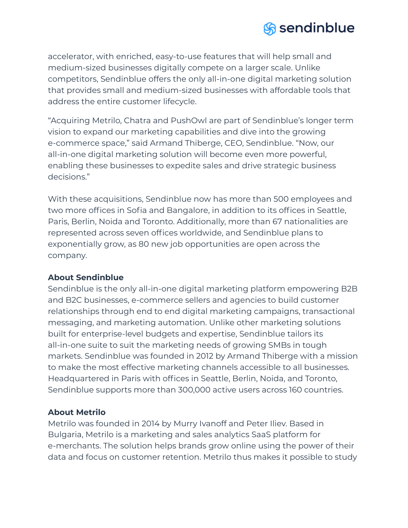

accelerator, with enriched, easy-to-use features that will help small and medium-sized businesses digitally compete on a larger scale. Unlike competitors, Sendinblue offers the only all-in-one digital marketing solution that provides small and medium-sized businesses with affordable tools that address the entire customer lifecycle.

"Acquiring Metrilo, Chatra and PushOwl are part of Sendinblue's longer term vision to expand our marketing capabilities and dive into the growing e-commerce space," said Armand Thiberge, CEO, Sendinblue. "Now, our all-in-one digital marketing solution will become even more powerful, enabling these businesses to expedite sales and drive strategic business decisions."

With these acquisitions, Sendinblue now has more than 500 employees and two more offices in Sofia and Bangalore, in addition to its offices in Seattle, Paris, Berlin, Noida and Toronto. Additionally, more than 67 nationalities are represented across seven offices worldwide, and Sendinblue plans to exponentially grow, as 80 new job opportunities are open across the company.

### **About Sendinblue**

Sendinblue is the only all-in-one digital marketing platform empowering B2B and B2C businesses, e-commerce sellers and agencies to build customer relationships through end to end digital marketing campaigns, transactional messaging, and marketing automation. Unlike other marketing solutions built for enterprise-level budgets and expertise, Sendinblue tailors its all-in-one suite to suit the marketing needs of growing SMBs in tough markets. Sendinblue was founded in 2012 by Armand Thiberge with a mission to make the most effective marketing channels accessible to all businesses. Headquartered in Paris with offices in Seattle, Berlin, Noida, and Toronto, Sendinblue supports more than 300,000 active users across 160 countries.

# **About Metrilo**

Metrilo was founded in 2014 by Murry Ivanoff and Peter Iliev. Based in Bulgaria, Metrilo is a marketing and sales analytics SaaS platform for e-merchants. The solution helps brands grow online using the power of their data and focus on customer retention. Metrilo thus makes it possible to study